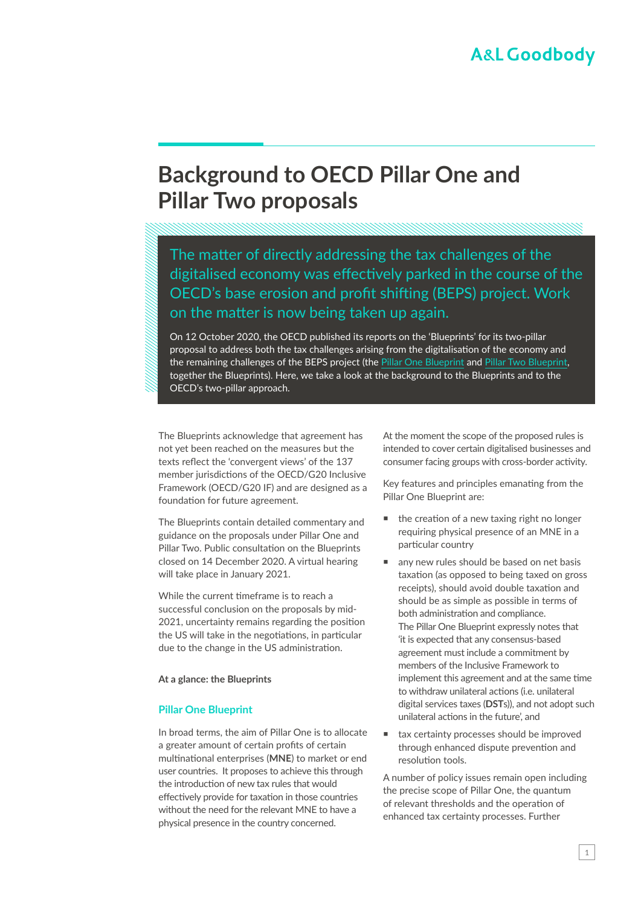# **Background to OECD Pillar One and Pillar Two proposals**

The matter of directly addressing the tax challenges of the digitalised economy was effectively parked in the course of the OECD's base erosion and profit shifting (BEPS) project. Work on the matter is now being taken up again.

On 12 October 2020, the OECD published its reports on the 'Blueprints' for its two-pillar proposal to address both the tax challenges arising from the digitalisation of the economy and the remaining challenges of the BEPS project (the [Pillar One Blueprint](https://www.oecd.org/tax/beps/tax-challenges-arising-from-digitalisation-report-on-pillar-one-blueprint-beba0634-en.htm) and [Pillar Two Blueprint](https://www.oecd.org/tax/beps/tax-challenges-arising-from-digitalisation-report-on-pillar-two-blueprint-abb4c3d1-en.htm), together the Blueprints). Here, we take a look at the background to the Blueprints and to the OECD's two-pillar approach.

The Blueprints acknowledge that agreement has not yet been reached on the measures but the texts reflect the 'convergent views' of the 137 member jurisdictions of the OECD/G20 Inclusive Framework (OECD/G20 IF) and are designed as a foundation for future agreement.

The Blueprints contain detailed commentary and guidance on the proposals under Pillar One and Pillar Two. Public consultation on the Blueprints closed on 14 December 2020. A virtual hearing will take place in January 2021.

While the current timeframe is to reach a successful conclusion on the proposals by mid-2021, uncertainty remains regarding the position the US will take in the negotiations, in particular due to the change in the US administration.

**At a glance: the Blueprints**

#### **Pillar One Blueprint**

In broad terms, the aim of Pillar One is to allocate a greater amount of certain profits of certain multinational enterprises (**MNE**) to market or end user countries. It proposes to achieve this through the introduction of new tax rules that would effectively provide for taxation in those countries without the need for the relevant MNE to have a physical presence in the country concerned.

At the moment the scope of the proposed rules is intended to cover certain digitalised businesses and consumer facing groups with cross-border activity.

Key features and principles emanating from the Pillar One Blueprint are:

- the creation of a new taxing right no longer requiring physical presence of an MNE in a particular country
- any new rules should be based on net basis taxation (as opposed to being taxed on gross receipts), should avoid double taxation and should be as simple as possible in terms of both administration and compliance. The Pillar One Blueprint expressly notes that 'it is expected that any consensus-based agreement must include a commitment by members of the Inclusive Framework to implement this agreement and at the same time to withdraw unilateral actions (i.e. unilateral digital services taxes (**DST**s)), and not adopt such unilateral actions in the future', and
- tax certainty processes should be improved through enhanced dispute prevention and resolution tools.

A number of policy issues remain open including the precise scope of Pillar One, the quantum of relevant thresholds and the operation of enhanced tax certainty processes. Further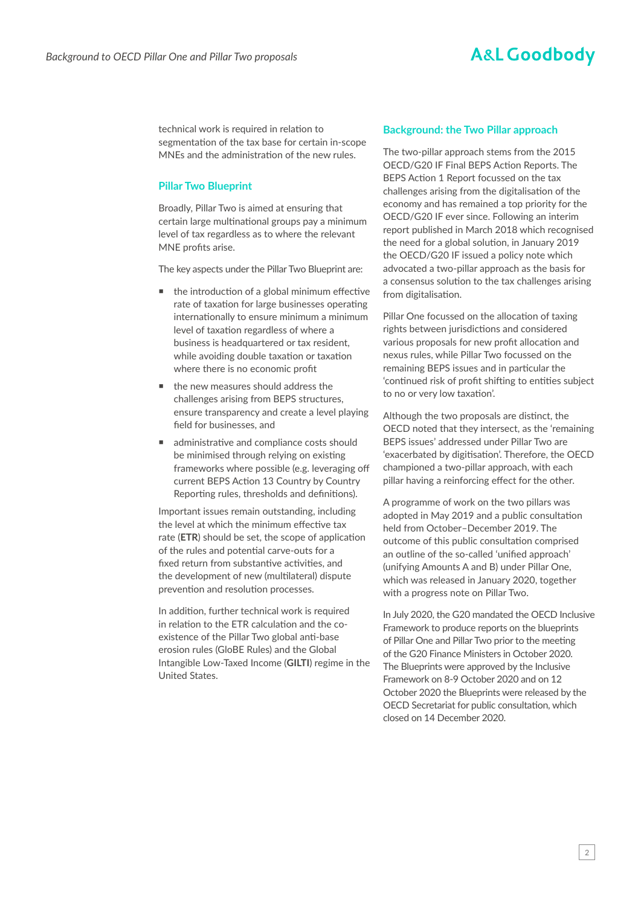### **A&L Goodbody**

technical work is required in relation to segmentation of the tax base for certain in-scope MNEs and the administration of the new rules.

#### **Pillar Two Blueprint**

Broadly, Pillar Two is aimed at ensuring that certain large multinational groups pay a minimum level of tax regardless as to where the relevant MNE profits arise.

The key aspects under the Pillar Two Blueprint are:

- $\blacksquare$  the introduction of a global minimum effective rate of taxation for large businesses operating internationally to ensure minimum a minimum level of taxation regardless of where a business is headquartered or tax resident, while avoiding double taxation or taxation where there is no economic profit
- the new measures should address the challenges arising from BEPS structures, ensure transparency and create a level playing field for businesses, and
- administrative and compliance costs should be minimised through relying on existing frameworks where possible (e.g. leveraging off current BEPS Action 13 Country by Country Reporting rules, thresholds and definitions).

Important issues remain outstanding, including the level at which the minimum effective tax rate (**ETR**) should be set, the scope of application of the rules and potential carve-outs for a fixed return from substantive activities, and the development of new (multilateral) dispute prevention and resolution processes.

In addition, further technical work is required in relation to the ETR calculation and the coexistence of the Pillar Two global anti-base erosion rules (GloBE Rules) and the Global Intangible Low-Taxed Income (**GILTI**) regime in the United States.

#### **Background: the Two Pillar approach**

The two-pillar approach stems from the 2015 OECD/G20 IF Final BEPS Action Reports. The BEPS Action 1 Report focussed on the tax challenges arising from the digitalisation of the economy and has remained a top priority for the OECD/G20 IF ever since. Following an interim report published in March 2018 which recognised the need for a global solution, in January 2019 the OECD/G20 IF issued a policy note which advocated a two-pillar approach as the basis for a consensus solution to the tax challenges arising from digitalisation.

Pillar One focussed on the allocation of taxing rights between jurisdictions and considered various proposals for new profit allocation and nexus rules, while Pillar Two focussed on the remaining BEPS issues and in particular the 'continued risk of profit shifting to entities subject to no or very low taxation'.

Although the two proposals are distinct, the OECD noted that they intersect, as the 'remaining BEPS issues' addressed under Pillar Two are 'exacerbated by digitisation'. Therefore, the OECD championed a two-pillar approach, with each pillar having a reinforcing effect for the other.

A programme of work on the two pillars was adopted in May 2019 and a public consultation held from October–December 2019. The outcome of this public consultation comprised an outline of the so-called 'unified approach' (unifying Amounts A and B) under Pillar One, which was released in January 2020, together with a progress note on Pillar Two.

In July 2020, the G20 mandated the OECD Inclusive Framework to produce reports on the blueprints of Pillar One and Pillar Two prior to the meeting of the G20 Finance Ministers in October 2020. The Blueprints were approved by the Inclusive Framework on 8-9 October 2020 and on 12 October 2020 the Blueprints were released by the OECD Secretariat for public consultation, which closed on 14 December 2020.